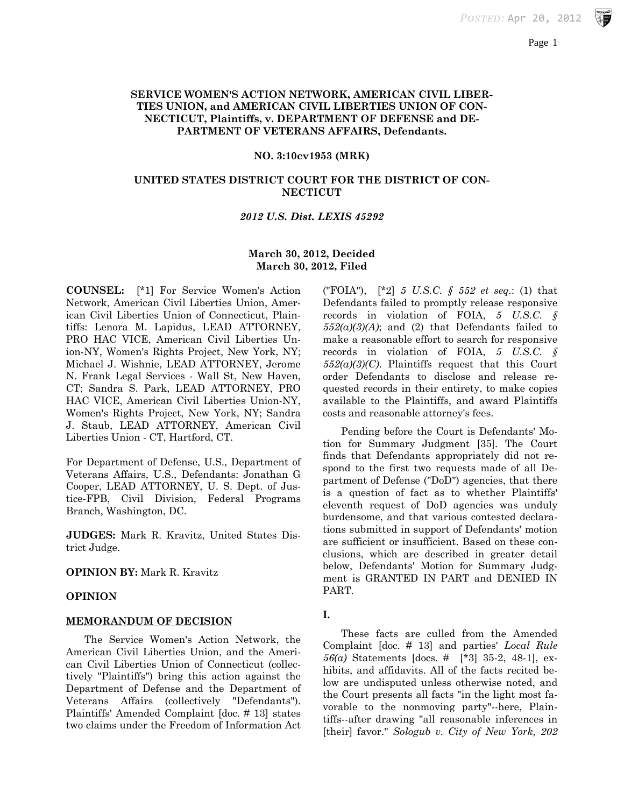### **SERVICE WOMEN'S ACTION NETWORK, AMERICAN CIVIL LIBER-TIES UNION, and AMERICAN CIVIL LIBERTIES UNION OF CON-NECTICUT, Plaintiffs, v. DEPARTMENT OF DEFENSE and DE-PARTMENT OF VETERANS AFFAIRS, Defendants.**

#### **NO. 3:10cv1953 (MRK)**

### **UNITED STATES DISTRICT COURT FOR THE DISTRICT OF CON-NECTICUT**

### *2012 U.S. Dist. LEXIS 45292*

## **March 30, 2012, Decided March 30, 2012, Filed**

**COUNSEL:** [\*1] For Service Women's Action Network, American Civil Liberties Union, American Civil Liberties Union of Connecticut, Plaintiffs: Lenora M. Lapidus, LEAD ATTORNEY, PRO HAC VICE, American Civil Liberties Union-NY, Women's Rights Project, New York, NY; Michael J. Wishnie, LEAD ATTORNEY, Jerome N. Frank Legal Services - Wall St, New Haven, CT; Sandra S. Park, LEAD ATTORNEY, PRO HAC VICE, American Civil Liberties Union-NY, Women's Rights Project, New York, NY; Sandra J. Staub, LEAD ATTORNEY, American Civil Liberties Union - CT, Hartford, CT.

For Department of Defense, U.S., Department of Veterans Affairs, U.S., Defendants: Jonathan G Cooper, LEAD ATTORNEY, U. S. Dept. of Justice-FPB, Civil Division, Federal Programs Branch, Washington, DC.

**JUDGES:** Mark R. Kravitz, United States District Judge.

#### **OPINION BY:** Mark R. Kravitz

#### **OPINION**

#### **MEMORANDUM OF DECISION**

The Service Women's Action Network, the American Civil Liberties Union, and the American Civil Liberties Union of Connecticut (collectively "Plaintiffs") bring this action against the Department of Defense and the Department of Veterans Affairs (collectively "Defendants"). Plaintiffs' Amended Complaint [doc. # 13] states two claims under the Freedom of Information Act

("FOIA"), [\*2] *5 U.S.C. § 552 et seq.*: (1) that Defendants failed to promptly release responsive records in violation of FOIA, *5 U.S.C. §*   $552(a)(3)(A)$ ; and (2) that Defendants failed to make a reasonable effort to search for responsive records in violation of FOIA, *5 U.S.C. § 552(a)(3)(C)*. Plaintiffs request that this Court order Defendants to disclose and release requested records in their entirety, to make copies available to the Plaintiffs, and award Plaintiffs costs and reasonable attorney's fees.

Pending before the Court is Defendants' Motion for Summary Judgment [35]. The Court finds that Defendants appropriately did not respond to the first two requests made of all Department of Defense ("DoD") agencies, that there is a question of fact as to whether Plaintiffs' eleventh request of DoD agencies was unduly burdensome, and that various contested declarations submitted in support of Defendants' motion are sufficient or insufficient. Based on these conclusions, which are described in greater detail below, Defendants' Motion for Summary Judgment is GRANTED IN PART and DENIED IN PART.

#### **I.**

These facts are culled from the Amended Complaint [doc. # 13] and parties' *Local Rule 56(a)* Statements [docs. # [\*3] 35-2, 48-1], exhibits, and affidavits. All of the facts recited below are undisputed unless otherwise noted, and the Court presents all facts "in the light most favorable to the nonmoving party"--here, Plaintiffs--after drawing "all reasonable inferences in [their] favor." *Sologub v. City of New York, 202*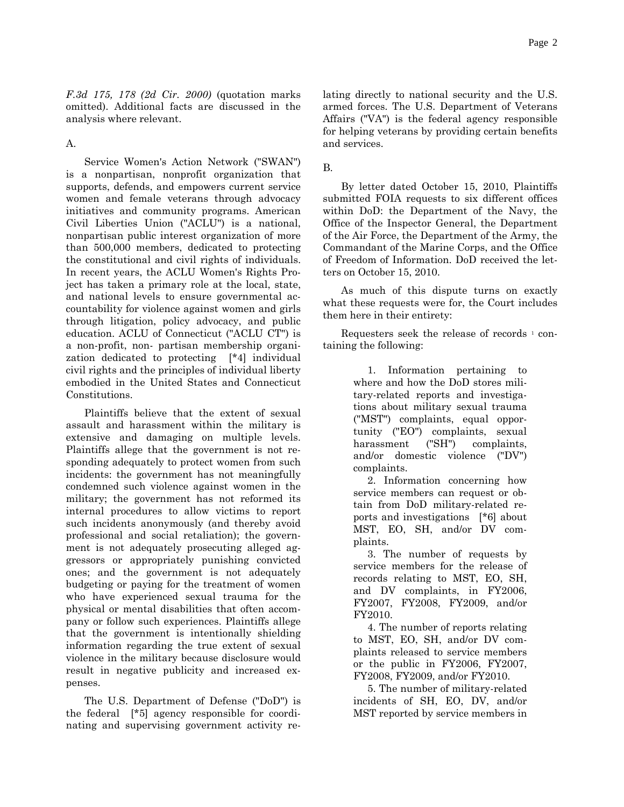*F.3d 175, 178 (2d Cir. 2000)* (quotation marks omitted). Additional facts are discussed in the analysis where relevant.

A.

Service Women's Action Network ("SWAN") is a nonpartisan, nonprofit organization that supports, defends, and empowers current service women and female veterans through advocacy initiatives and community programs. American Civil Liberties Union ("ACLU") is a national, nonpartisan public interest organization of more than 500,000 members, dedicated to protecting the constitutional and civil rights of individuals. In recent years, the ACLU Women's Rights Project has taken a primary role at the local, state, and national levels to ensure governmental accountability for violence against women and girls through litigation, policy advocacy, and public education. ACLU of Connecticut ("ACLU CT") is a non-profit, non- partisan membership organization dedicated to protecting [\*4] individual civil rights and the principles of individual liberty embodied in the United States and Connecticut Constitutions.

Plaintiffs believe that the extent of sexual assault and harassment within the military is extensive and damaging on multiple levels. Plaintiffs allege that the government is not responding adequately to protect women from such incidents: the government has not meaningfully condemned such violence against women in the military; the government has not reformed its internal procedures to allow victims to report such incidents anonymously (and thereby avoid professional and social retaliation); the government is not adequately prosecuting alleged aggressors or appropriately punishing convicted ones; and the government is not adequately budgeting or paying for the treatment of women who have experienced sexual trauma for the physical or mental disabilities that often accompany or follow such experiences. Plaintiffs allege that the government is intentionally shielding information regarding the true extent of sexual violence in the military because disclosure would result in negative publicity and increased expenses.

The U.S. Department of Defense ("DoD") is the federal [\*5] agency responsible for coordinating and supervising government activity relating directly to national security and the U.S. armed forces. The U.S. Department of Veterans Affairs ("VA") is the federal agency responsible for helping veterans by providing certain benefits and services.

B.

By letter dated October 15, 2010, Plaintiffs submitted FOIA requests to six different offices within DoD: the Department of the Navy, the Office of the Inspector General, the Department of the Air Force, the Department of the Army, the Commandant of the Marine Corps, and the Office of Freedom of Information. DoD received the letters on October 15, 2010.

As much of this dispute turns on exactly what these requests were for, the Court includes them here in their entirety:

Requesters seek the release of records <sup>1</sup> containing the following:

> 1. Information pertaining to where and how the DoD stores military-related reports and investigations about military sexual trauma ("MST") complaints, equal opportunity ("EO") complaints, sexual harassment ("SH") complaints, and/or domestic violence ("DV") complaints.

> 2. Information concerning how service members can request or obtain from DoD military-related reports and investigations [\*6] about MST, EO, SH, and/or DV complaints.

> 3. The number of requests by service members for the release of records relating to MST, EO, SH, and DV complaints, in FY2006, FY2007, FY2008, FY2009, and/or FY2010.

> 4. The number of reports relating to MST, EO, SH, and/or DV complaints released to service members or the public in FY2006, FY2007, FY2008, FY2009, and/or FY2010.

> 5. The number of military-related incidents of SH, EO, DV, and/or MST reported by service members in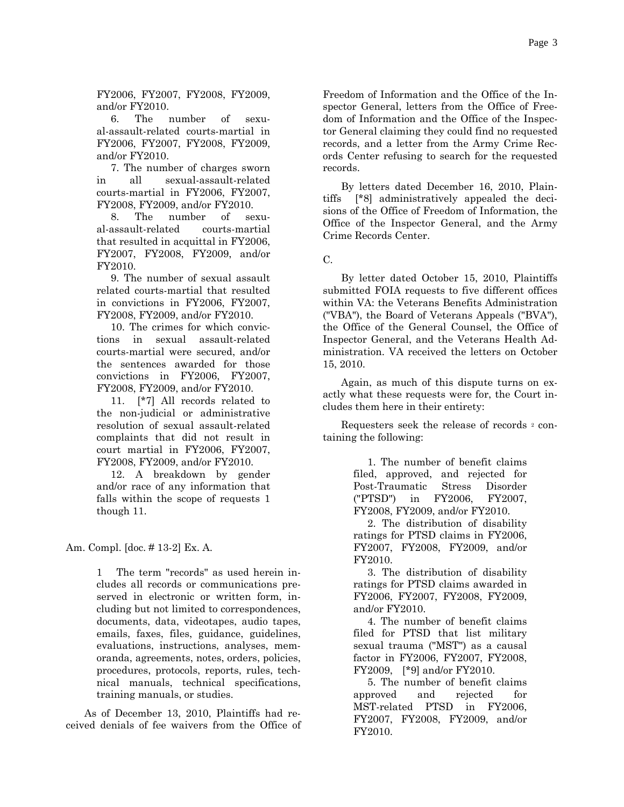FY2006, FY2007, FY2008, FY2009, and/or FY2010.

 6. The number of sexual-assault-related courts-martial in FY2006, FY2007, FY2008, FY2009, and/or FY2010.

 7. The number of charges sworn in all sexual-assault-related courts-martial in FY2006, FY2007, FY2008, FY2009, and/or FY2010.

 8. The number of sexual-assault-related courts-martial that resulted in acquittal in FY2006, FY2007, FY2008, FY2009, and/or FY2010.

 9. The number of sexual assault related courts-martial that resulted in convictions in FY2006, FY2007, FY2008, FY2009, and/or FY2010.

 10. The crimes for which convictions in sexual assault-related courts-martial were secured, and/or the sentences awarded for those convictions in FY2006, FY2007, FY2008, FY2009, and/or FY2010.

 11. [\*7] All records related to the non-judicial or administrative resolution of sexual assault-related complaints that did not result in court martial in FY2006, FY2007, FY2008, FY2009, and/or FY2010.

 12. A breakdown by gender and/or race of any information that falls within the scope of requests 1 though 11.

Am. Compl. [doc. # 13-2] Ex. A.

1 The term "records" as used herein includes all records or communications preserved in electronic or written form, including but not limited to correspondences, documents, data, videotapes, audio tapes, emails, faxes, files, guidance, guidelines, evaluations, instructions, analyses, memoranda, agreements, notes, orders, policies, procedures, protocols, reports, rules, technical manuals, technical specifications, training manuals, or studies.

As of December 13, 2010, Plaintiffs had received denials of fee waivers from the Office of

Freedom of Information and the Office of the Inspector General, letters from the Office of Freedom of Information and the Office of the Inspector General claiming they could find no requested records, and a letter from the Army Crime Records Center refusing to search for the requested records.

By letters dated December 16, 2010, Plaintiffs [\*8] administratively appealed the decisions of the Office of Freedom of Information, the Office of the Inspector General, and the Army Crime Records Center.

C.

By letter dated October 15, 2010, Plaintiffs submitted FOIA requests to five different offices within VA: the Veterans Benefits Administration ("VBA"), the Board of Veterans Appeals ("BVA"), the Office of the General Counsel, the Office of Inspector General, and the Veterans Health Administration. VA received the letters on October 15, 2010.

Again, as much of this dispute turns on exactly what these requests were for, the Court includes them here in their entirety:

Requesters seek the release of records 2 containing the following:

> 1. The number of benefit claims filed, approved, and rejected for Post-Traumatic Stress Disorder ("PTSD") in FY2006, FY2007, FY2008, FY2009, and/or FY2010.

> 2. The distribution of disability ratings for PTSD claims in FY2006, FY2007, FY2008, FY2009, and/or FY2010.

> 3. The distribution of disability ratings for PTSD claims awarded in FY2006, FY2007, FY2008, FY2009, and/or FY2010.

> 4. The number of benefit claims filed for PTSD that list military sexual trauma ("MST") as a causal factor in FY2006, FY2007, FY2008, FY2009, [\*9] and/or FY2010.

> 5. The number of benefit claims approved and rejected for MST-related PTSD in FY2006, FY2007, FY2008, FY2009, and/or FY2010.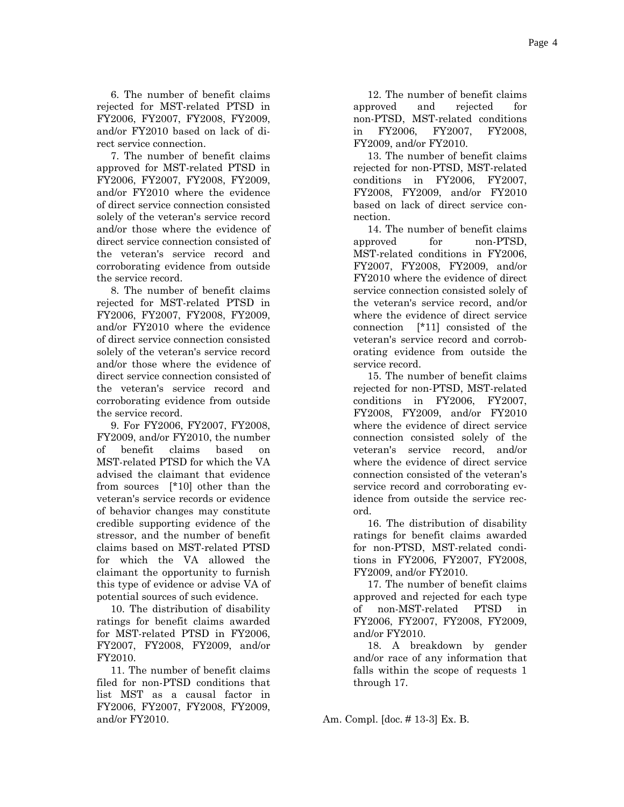6. The number of benefit claims rejected for MST-related PTSD in FY2006, FY2007, FY2008, FY2009, and/or FY2010 based on lack of direct service connection.

 7. The number of benefit claims approved for MST-related PTSD in FY2006, FY2007, FY2008, FY2009, and/or FY2010 where the evidence of direct service connection consisted solely of the veteran's service record and/or those where the evidence of direct service connection consisted of the veteran's service record and corroborating evidence from outside the service record.

 8. The number of benefit claims rejected for MST-related PTSD in FY2006, FY2007, FY2008, FY2009, and/or FY2010 where the evidence of direct service connection consisted solely of the veteran's service record and/or those where the evidence of direct service connection consisted of the veteran's service record and corroborating evidence from outside the service record.

 9. For FY2006, FY2007, FY2008, FY2009, and/or FY2010, the number of benefit claims based on MST-related PTSD for which the VA advised the claimant that evidence from sources [\*10] other than the veteran's service records or evidence of behavior changes may constitute credible supporting evidence of the stressor, and the number of benefit claims based on MST-related PTSD for which the VA allowed the claimant the opportunity to furnish this type of evidence or advise VA of potential sources of such evidence.

 10. The distribution of disability ratings for benefit claims awarded for MST-related PTSD in FY2006, FY2007, FY2008, FY2009, and/or FY2010.

 11. The number of benefit claims filed for non-PTSD conditions that list MST as a causal factor in FY2006, FY2007, FY2008, FY2009, and/or FY2010.

 12. The number of benefit claims approved and rejected for non-PTSD, MST-related conditions in FY2006, FY2007, FY2008, FY2009, and/or FY2010.

 13. The number of benefit claims rejected for non-PTSD, MST-related conditions in FY2006, FY2007, FY2008, FY2009, and/or FY2010 based on lack of direct service connection.

 14. The number of benefit claims approved for non-PTSD, MST-related conditions in FY2006, FY2007, FY2008, FY2009, and/or FY2010 where the evidence of direct service connection consisted solely of the veteran's service record, and/or where the evidence of direct service connection [\*11] consisted of the veteran's service record and corroborating evidence from outside the service record.

 15. The number of benefit claims rejected for non-PTSD, MST-related conditions in FY2006, FY2007, FY2008, FY2009, and/or FY2010 where the evidence of direct service connection consisted solely of the veteran's service record, and/or where the evidence of direct service connection consisted of the veteran's service record and corroborating evidence from outside the service record.

 16. The distribution of disability ratings for benefit claims awarded for non-PTSD, MST-related conditions in FY2006, FY2007, FY2008, FY2009, and/or FY2010.

 17. The number of benefit claims approved and rejected for each type of non-MST-related PTSD in FY2006, FY2007, FY2008, FY2009, and/or FY2010.

 18. A breakdown by gender and/or race of any information that falls within the scope of requests 1 through 17.

Am. Compl. [doc. # 13-3] Ex. B.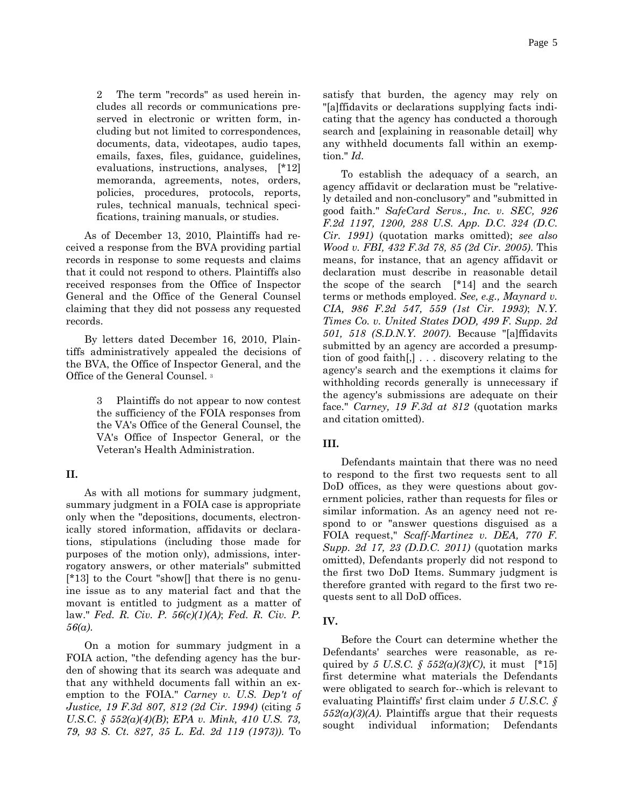2 The term "records" as used herein includes all records or communications preserved in electronic or written form, including but not limited to correspondences, documents, data, videotapes, audio tapes, emails, faxes, files, guidance, guidelines, evaluations, instructions, analyses, [\*12] memoranda, agreements, notes, orders, policies, procedures, protocols, reports, rules, technical manuals, technical specifications, training manuals, or studies.

As of December 13, 2010, Plaintiffs had received a response from the BVA providing partial records in response to some requests and claims that it could not respond to others. Plaintiffs also received responses from the Office of Inspector General and the Office of the General Counsel claiming that they did not possess any requested records.

By letters dated December 16, 2010, Plaintiffs administratively appealed the decisions of the BVA, the Office of Inspector General, and the Office of the General Counsel. 3

> 3 Plaintiffs do not appear to now contest the sufficiency of the FOIA responses from the VA's Office of the General Counsel, the VA's Office of Inspector General, or the Veteran's Health Administration.

### **II.**

As with all motions for summary judgment, summary judgment in a FOIA case is appropriate only when the "depositions, documents, electronically stored information, affidavits or declarations, stipulations (including those made for purposes of the motion only), admissions, interrogatory answers, or other materials" submitted [\*13] to the Court "show[] that there is no genuine issue as to any material fact and that the movant is entitled to judgment as a matter of law." *Fed. R. Civ. P. 56(c)(1)(A)*; *Fed. R. Civ. P. 56(a)*.

On a motion for summary judgment in a FOIA action, "the defending agency has the burden of showing that its search was adequate and that any withheld documents fall within an exemption to the FOIA." *Carney v. U.S. Dep't of Justice, 19 F.3d 807, 812 (2d Cir. 1994)* (citing *5 U.S.C. § 552(a)(4)(B)*; *EPA v. Mink, 410 U.S. 73, 79, 93 S. Ct. 827, 35 L. Ed. 2d 119 (1973))*. To

satisfy that burden, the agency may rely on "[a]ffidavits or declarations supplying facts indicating that the agency has conducted a thorough search and [explaining in reasonable detail] why any withheld documents fall within an exemption." *Id.*

To establish the adequacy of a search, an agency affidavit or declaration must be "relatively detailed and non-conclusory" and "submitted in good faith." *SafeCard Servs., Inc. v. SEC, 926 F.2d 1197, 1200, 288 U.S. App. D.C. 324 (D.C. Cir. 1991)* (quotation marks omitted); *see also Wood v. FBI, 432 F.3d 78, 85 (2d Cir. 2005)*. This means, for instance, that an agency affidavit or declaration must describe in reasonable detail the scope of the search [\*14] and the search terms or methods employed. *See, e.g., Maynard v. CIA, 986 F.2d 547, 559 (1st Cir. 1993)*; *N.Y. Times Co. v. United States DOD, 499 F. Supp. 2d 501, 518 (S.D.N.Y. 2007)*. Because "[a]ffidavits submitted by an agency are accorded a presumption of good faith[,] . . . discovery relating to the agency's search and the exemptions it claims for withholding records generally is unnecessary if the agency's submissions are adequate on their face." *Carney, 19 F.3d at 812* (quotation marks and citation omitted).

# **III.**

Defendants maintain that there was no need to respond to the first two requests sent to all DoD offices, as they were questions about government policies, rather than requests for files or similar information. As an agency need not respond to or "answer questions disguised as a FOIA request," *Scaff-Martinez v. DEA, 770 F. Supp. 2d 17, 23 (D.D.C. 2011)* (quotation marks omitted), Defendants properly did not respond to the first two DoD Items. Summary judgment is therefore granted with regard to the first two requests sent to all DoD offices.

# **IV.**

Before the Court can determine whether the Defendants' searches were reasonable, as required by *5 U.S.C. § 552(a)(3)(C)*, it must [\*15] first determine what materials the Defendants were obligated to search for--which is relevant to evaluating Plaintiffs' first claim under *5 U.S.C. § 552(a)(3)(A)*. Plaintiffs argue that their requests sought individual information; Defendants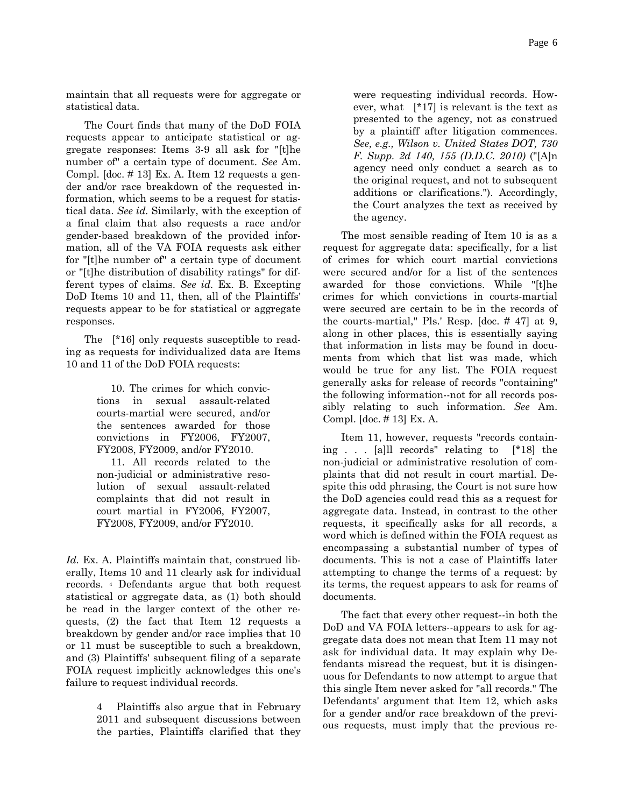maintain that all requests were for aggregate or statistical data.

The Court finds that many of the DoD FOIA requests appear to anticipate statistical or aggregate responses: Items 3-9 all ask for "[t]he number of" a certain type of document. *See* Am. Compl. [doc. # 13] Ex. A. Item 12 requests a gender and/or race breakdown of the requested information, which seems to be a request for statistical data. *See id.* Similarly, with the exception of a final claim that also requests a race and/or gender-based breakdown of the provided information, all of the VA FOIA requests ask either for "[t]he number of" a certain type of document or "[t]he distribution of disability ratings" for different types of claims. *See id.* Ex. B. Excepting DoD Items 10 and 11, then, all of the Plaintiffs' requests appear to be for statistical or aggregate responses.

The [\*16] only requests susceptible to reading as requests for individualized data are Items 10 and 11 of the DoD FOIA requests:

> 10. The crimes for which convictions in sexual assault-related courts-martial were secured, and/or the sentences awarded for those convictions in FY2006, FY2007, FY2008, FY2009, and/or FY2010.

> 11. All records related to the non-judicial or administrative resolution of sexual assault-related complaints that did not result in court martial in FY2006, FY2007, FY2008, FY2009, and/or FY2010.

*Id.* Ex. A. Plaintiffs maintain that, construed liberally, Items 10 and 11 clearly ask for individual records. 4 Defendants argue that both request statistical or aggregate data, as (1) both should be read in the larger context of the other requests, (2) the fact that Item 12 requests a breakdown by gender and/or race implies that 10 or 11 must be susceptible to such a breakdown, and (3) Plaintiffs' subsequent filing of a separate FOIA request implicitly acknowledges this one's failure to request individual records.

> 4 Plaintiffs also argue that in February 2011 and subsequent discussions between the parties, Plaintiffs clarified that they

were requesting individual records. However, what [\*17] is relevant is the text as presented to the agency, not as construed by a plaintiff after litigation commences. *See, e.g., Wilson v. United States DOT, 730 F. Supp. 2d 140, 155 (D.D.C. 2010)* ("[A]n agency need only conduct a search as to the original request, and not to subsequent additions or clarifications."). Accordingly, the Court analyzes the text as received by the agency.

The most sensible reading of Item 10 is as a request for aggregate data: specifically, for a list of crimes for which court martial convictions were secured and/or for a list of the sentences awarded for those convictions. While "[t]he crimes for which convictions in courts-martial were secured are certain to be in the records of the courts-martial," Pls.' Resp. [doc. # 47] at 9, along in other places, this is essentially saying that information in lists may be found in documents from which that list was made, which would be true for any list. The FOIA request generally asks for release of records "containing" the following information--not for all records possibly relating to such information. *See* Am. Compl. [doc. # 13] Ex. A.

Item 11, however, requests "records containing . . . [a]ll records" relating to [\*18] the non-judicial or administrative resolution of complaints that did not result in court martial. Despite this odd phrasing, the Court is not sure how the DoD agencies could read this as a request for aggregate data. Instead, in contrast to the other requests, it specifically asks for all records, a word which is defined within the FOIA request as encompassing a substantial number of types of documents. This is not a case of Plaintiffs later attempting to change the terms of a request: by its terms, the request appears to ask for reams of documents.

The fact that every other request--in both the DoD and VA FOIA letters--appears to ask for aggregate data does not mean that Item 11 may not ask for individual data. It may explain why Defendants misread the request, but it is disingenuous for Defendants to now attempt to argue that this single Item never asked for "all records." The Defendants' argument that Item 12, which asks for a gender and/or race breakdown of the previous requests, must imply that the previous re-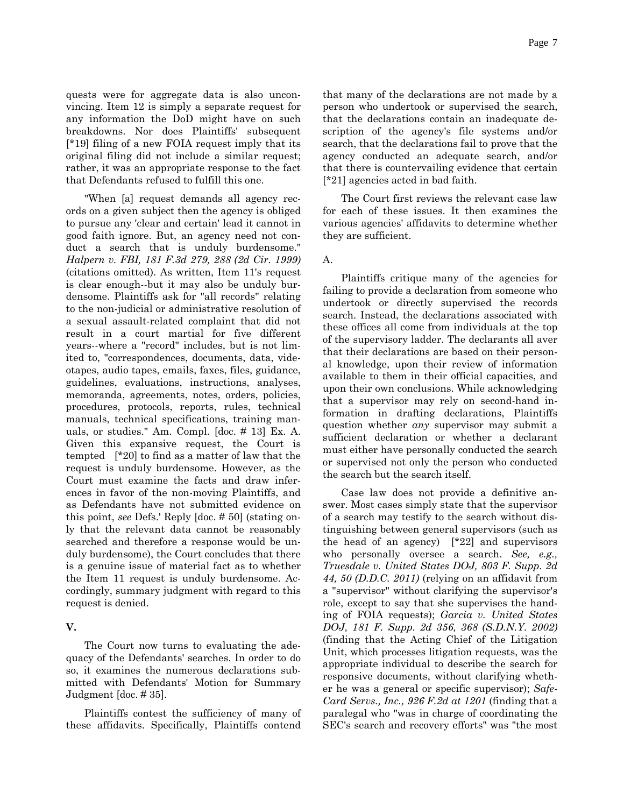quests were for aggregate data is also unconvincing. Item 12 is simply a separate request for any information the DoD might have on such breakdowns. Nor does Plaintiffs' subsequent [\*19] filing of a new FOIA request imply that its original filing did not include a similar request; rather, it was an appropriate response to the fact that Defendants refused to fulfill this one.

"When [a] request demands all agency records on a given subject then the agency is obliged to pursue any 'clear and certain' lead it cannot in good faith ignore. But, an agency need not conduct a search that is unduly burdensome." *Halpern v. FBI, 181 F.3d 279, 288 (2d Cir. 1999)* (citations omitted). As written, Item 11's request is clear enough--but it may also be unduly burdensome. Plaintiffs ask for "all records" relating to the non-judicial or administrative resolution of a sexual assault-related complaint that did not result in a court martial for five different years--where a "record" includes, but is not limited to, "correspondences, documents, data, videotapes, audio tapes, emails, faxes, files, guidance, guidelines, evaluations, instructions, analyses, memoranda, agreements, notes, orders, policies, procedures, protocols, reports, rules, technical manuals, technical specifications, training manuals, or studies." Am. Compl. [doc. # 13] Ex. A. Given this expansive request, the Court is tempted [\*20] to find as a matter of law that the request is unduly burdensome. However, as the Court must examine the facts and draw inferences in favor of the non-moving Plaintiffs, and as Defendants have not submitted evidence on this point, *see* Defs.' Reply [doc. # 50] (stating only that the relevant data cannot be reasonably searched and therefore a response would be unduly burdensome), the Court concludes that there is a genuine issue of material fact as to whether the Item 11 request is unduly burdensome. Accordingly, summary judgment with regard to this request is denied.

### **V.**

The Court now turns to evaluating the adequacy of the Defendants' searches. In order to do so, it examines the numerous declarations submitted with Defendants' Motion for Summary Judgment [doc. # 35].

Plaintiffs contest the sufficiency of many of these affidavits. Specifically, Plaintiffs contend that many of the declarations are not made by a person who undertook or supervised the search, that the declarations contain an inadequate description of the agency's file systems and/or search, that the declarations fail to prove that the agency conducted an adequate search, and/or that there is countervailing evidence that certain [\*21] agencies acted in bad faith.

The Court first reviews the relevant case law for each of these issues. It then examines the various agencies' affidavits to determine whether they are sufficient.

#### A.

Plaintiffs critique many of the agencies for failing to provide a declaration from someone who undertook or directly supervised the records search. Instead, the declarations associated with these offices all come from individuals at the top of the supervisory ladder. The declarants all aver that their declarations are based on their personal knowledge, upon their review of information available to them in their official capacities, and upon their own conclusions. While acknowledging that a supervisor may rely on second-hand information in drafting declarations, Plaintiffs question whether *any* supervisor may submit a sufficient declaration or whether a declarant must either have personally conducted the search or supervised not only the person who conducted the search but the search itself.

Case law does not provide a definitive answer. Most cases simply state that the supervisor of a search may testify to the search without distinguishing between general supervisors (such as the head of an agency) [\*22] and supervisors who personally oversee a search. *See, e.g., Truesdale v. United States DOJ, 803 F. Supp. 2d 44, 50 (D.D.C. 2011)* (relying on an affidavit from a "supervisor" without clarifying the supervisor's role, except to say that she supervises the handing of FOIA requests); *Garcia v. United States DOJ, 181 F. Supp. 2d 356, 368 (S.D.N.Y. 2002)* (finding that the Acting Chief of the Litigation Unit, which processes litigation requests, was the appropriate individual to describe the search for responsive documents, without clarifying whether he was a general or specific supervisor); *Safe-Card Servs., Inc., 926 F.2d at 1201* (finding that a paralegal who "was in charge of coordinating the SEC's search and recovery efforts" was "the most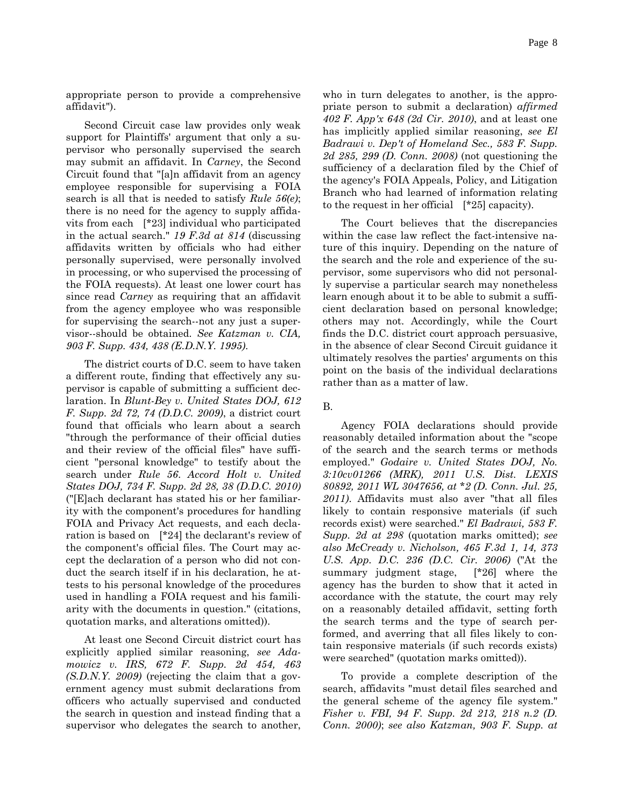appropriate person to provide a comprehensive affidavit").

Second Circuit case law provides only weak support for Plaintiffs' argument that only a supervisor who personally supervised the search may submit an affidavit. In *Carney*, the Second Circuit found that "[a]n affidavit from an agency employee responsible for supervising a FOIA search is all that is needed to satisfy *Rule 56(e)*; there is no need for the agency to supply affidavits from each [\*23] individual who participated in the actual search." *19 F.3d at 814* (discussing affidavits written by officials who had either personally supervised, were personally involved in processing, or who supervised the processing of the FOIA requests). At least one lower court has since read *Carney* as requiring that an affidavit from the agency employee who was responsible for supervising the search--not any just a supervisor--should be obtained. *See Katzman v. CIA, 903 F. Supp. 434, 438 (E.D.N.Y. 1995)*.

The district courts of D.C. seem to have taken a different route, finding that effectively any supervisor is capable of submitting a sufficient declaration. In *Blunt-Bey v. United States DOJ, 612 F. Supp. 2d 72, 74 (D.D.C. 2009)*, a district court found that officials who learn about a search "through the performance of their official duties and their review of the official files" have sufficient "personal knowledge" to testify about the search under *Rule 56*. *Accord Holt v. United States DOJ, 734 F. Supp. 2d 28, 38 (D.D.C. 2010)* ("[E]ach declarant has stated his or her familiarity with the component's procedures for handling FOIA and Privacy Act requests, and each declaration is based on [\*24] the declarant's review of the component's official files. The Court may accept the declaration of a person who did not conduct the search itself if in his declaration, he attests to his personal knowledge of the procedures used in handling a FOIA request and his familiarity with the documents in question." (citations, quotation marks, and alterations omitted)).

At least one Second Circuit district court has explicitly applied similar reasoning, *see Adamowicz v. IRS, 672 F. Supp. 2d 454, 463 (S.D.N.Y. 2009)* (rejecting the claim that a government agency must submit declarations from officers who actually supervised and conducted the search in question and instead finding that a supervisor who delegates the search to another,

Page 8

who in turn delegates to another, is the appropriate person to submit a declaration) *affirmed 402 F. App'x 648 (2d Cir. 2010)*, and at least one has implicitly applied similar reasoning, *see El Badrawi v. Dep't of Homeland Sec., 583 F. Supp. 2d 285, 299 (D. Conn. 2008)* (not questioning the sufficiency of a declaration filed by the Chief of the agency's FOIA Appeals, Policy, and Litigation Branch who had learned of information relating to the request in her official [\*25] capacity).

The Court believes that the discrepancies within the case law reflect the fact-intensive nature of this inquiry. Depending on the nature of the search and the role and experience of the supervisor, some supervisors who did not personally supervise a particular search may nonetheless learn enough about it to be able to submit a sufficient declaration based on personal knowledge; others may not. Accordingly, while the Court finds the D.C. district court approach persuasive, in the absence of clear Second Circuit guidance it ultimately resolves the parties' arguments on this point on the basis of the individual declarations rather than as a matter of law.

#### B.

Agency FOIA declarations should provide reasonably detailed information about the "scope of the search and the search terms or methods employed." *Godaire v. United States DOJ, No. 3:10cv01266 (MRK), 2011 U.S. Dist. LEXIS 80892, 2011 WL 3047656, at \*2 (D. Conn. Jul. 25, 2011)*. Affidavits must also aver "that all files likely to contain responsive materials (if such records exist) were searched." *El Badrawi, 583 F. Supp. 2d at 298* (quotation marks omitted); *see also McCready v. Nicholson, 465 F.3d 1, 14, 373 U.S. App. D.C. 236 (D.C. Cir. 2006)* ("At the summary judgment stage, [\*26] where the agency has the burden to show that it acted in accordance with the statute, the court may rely on a reasonably detailed affidavit, setting forth the search terms and the type of search performed, and averring that all files likely to contain responsive materials (if such records exists) were searched" (quotation marks omitted)).

To provide a complete description of the search, affidavits "must detail files searched and the general scheme of the agency file system." *Fisher v. FBI, 94 F. Supp. 2d 213, 218 n.2 (D. Conn. 2000)*; *see also Katzman, 903 F. Supp. at*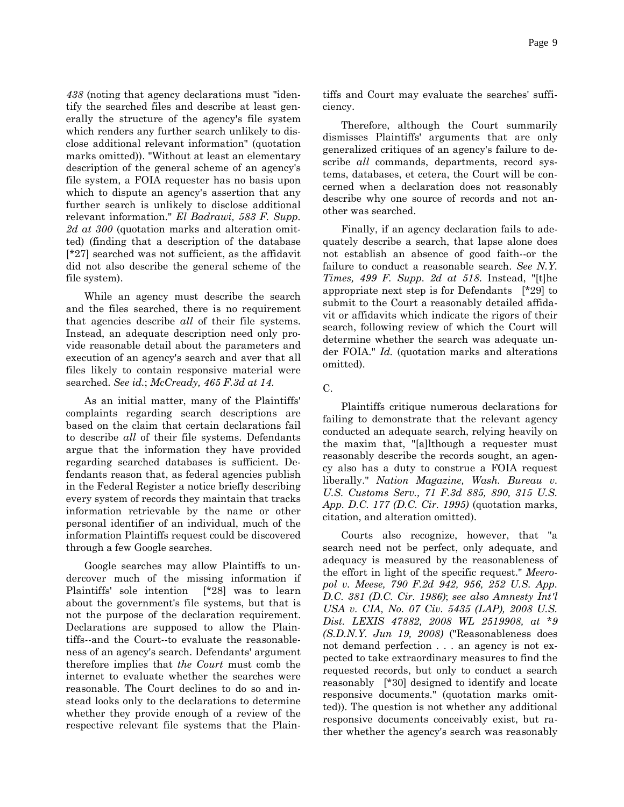Page 9

*438* (noting that agency declarations must "identify the searched files and describe at least generally the structure of the agency's file system which renders any further search unlikely to disclose additional relevant information" (quotation marks omitted)). "Without at least an elementary description of the general scheme of an agency's file system, a FOIA requester has no basis upon which to dispute an agency's assertion that any further search is unlikely to disclose additional relevant information." *El Badrawi, 583 F. Supp. 2d at 300* (quotation marks and alteration omitted) (finding that a description of the database [\*27] searched was not sufficient, as the affidavit did not also describe the general scheme of the file system).

While an agency must describe the search and the files searched, there is no requirement that agencies describe *all* of their file systems. Instead, an adequate description need only provide reasonable detail about the parameters and execution of an agency's search and aver that all files likely to contain responsive material were searched. *See id.*; *McCready, 465 F.3d at 14*.

As an initial matter, many of the Plaintiffs' complaints regarding search descriptions are based on the claim that certain declarations fail to describe *all* of their file systems. Defendants argue that the information they have provided regarding searched databases is sufficient. Defendants reason that, as federal agencies publish in the Federal Register a notice briefly describing every system of records they maintain that tracks information retrievable by the name or other personal identifier of an individual, much of the information Plaintiffs request could be discovered through a few Google searches.

Google searches may allow Plaintiffs to undercover much of the missing information if Plaintiffs' sole intention [\*28] was to learn about the government's file systems, but that is not the purpose of the declaration requirement. Declarations are supposed to allow the Plaintiffs--and the Court--to evaluate the reasonableness of an agency's search. Defendants' argument therefore implies that *the Court* must comb the internet to evaluate whether the searches were reasonable. The Court declines to do so and instead looks only to the declarations to determine whether they provide enough of a review of the respective relevant file systems that the Plaintiffs and Court may evaluate the searches' sufficiency.

Therefore, although the Court summarily dismisses Plaintiffs' arguments that are only generalized critiques of an agency's failure to describe *all* commands, departments, record systems, databases, et cetera, the Court will be concerned when a declaration does not reasonably describe why one source of records and not another was searched.

Finally, if an agency declaration fails to adequately describe a search, that lapse alone does not establish an absence of good faith--or the failure to conduct a reasonable search. *See N.Y. Times, 499 F. Supp. 2d at 518*. Instead, "[t]he appropriate next step is for Defendants [\*29] to submit to the Court a reasonably detailed affidavit or affidavits which indicate the rigors of their search, following review of which the Court will determine whether the search was adequate under FOIA." *Id.* (quotation marks and alterations omitted).

Plaintiffs critique numerous declarations for failing to demonstrate that the relevant agency conducted an adequate search, relying heavily on the maxim that, "[a]lthough a requester must reasonably describe the records sought, an agency also has a duty to construe a FOIA request liberally." *Nation Magazine, Wash. Bureau v. U.S. Customs Serv., 71 F.3d 885, 890, 315 U.S. App. D.C. 177 (D.C. Cir. 1995)* (quotation marks, citation, and alteration omitted).

Courts also recognize, however, that "a search need not be perfect, only adequate, and adequacy is measured by the reasonableness of the effort in light of the specific request." *Meeropol v. Meese, 790 F.2d 942, 956, 252 U.S. App. D.C. 381 (D.C. Cir. 1986)*; *see also Amnesty Int'l USA v. CIA, No. 07 Civ. 5435 (LAP), 2008 U.S. Dist. LEXIS 47882, 2008 WL 2519908, at \*9 (S.D.N.Y. Jun 19, 2008)* ("Reasonableness does not demand perfection . . . an agency is not expected to take extraordinary measures to find the requested records, but only to conduct a search reasonably [\*30] designed to identify and locate responsive documents." (quotation marks omitted)). The question is not whether any additional responsive documents conceivably exist, but rather whether the agency's search was reasonably

C.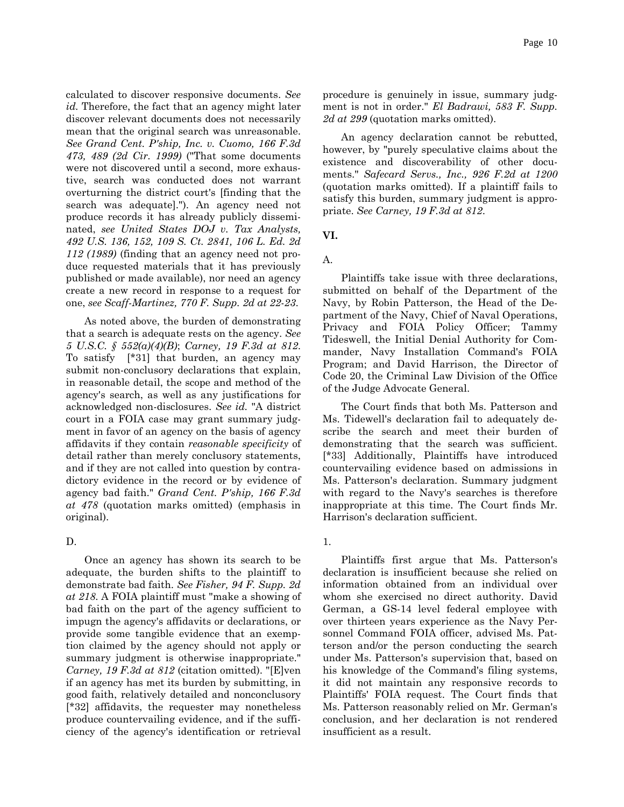calculated to discover responsive documents. *See id.* Therefore, the fact that an agency might later discover relevant documents does not necessarily mean that the original search was unreasonable. *See Grand Cent. P'ship, Inc. v. Cuomo, 166 F.3d 473, 489 (2d Cir. 1999)* ("That some documents were not discovered until a second, more exhaustive, search was conducted does not warrant overturning the district court's [finding that the search was adequate]."). An agency need not produce records it has already publicly disseminated, *see United States DOJ v. Tax Analysts, 492 U.S. 136, 152, 109 S. Ct. 2841, 106 L. Ed. 2d 112 (1989)* (finding that an agency need not produce requested materials that it has previously published or made available), nor need an agency create a new record in response to a request for one, *see Scaff-Martinez, 770 F. Supp. 2d at 22-23*.

As noted above, the burden of demonstrating that a search is adequate rests on the agency. *See 5 U.S.C. § 552(a)(4)(B)*; *Carney, 19 F.3d at 812*. To satisfy [\*31] that burden, an agency may submit non-conclusory declarations that explain, in reasonable detail, the scope and method of the agency's search, as well as any justifications for acknowledged non-disclosures. *See id.* "A district court in a FOIA case may grant summary judgment in favor of an agency on the basis of agency affidavits if they contain *reasonable specificity* of detail rather than merely conclusory statements, and if they are not called into question by contradictory evidence in the record or by evidence of agency bad faith." *Grand Cent. P'ship, 166 F.3d at 478* (quotation marks omitted) (emphasis in original).

#### D.

Once an agency has shown its search to be adequate, the burden shifts to the plaintiff to demonstrate bad faith. *See Fisher, 94 F. Supp. 2d at 218*. A FOIA plaintiff must "make a showing of bad faith on the part of the agency sufficient to impugn the agency's affidavits or declarations, or provide some tangible evidence that an exemption claimed by the agency should not apply or summary judgment is otherwise inappropriate." *Carney, 19 F.3d at 812* (citation omitted). "[E]ven if an agency has met its burden by submitting, in good faith, relatively detailed and nonconclusory [\*32] affidavits, the requester may nonetheless produce countervailing evidence, and if the sufficiency of the agency's identification or retrieval

procedure is genuinely in issue, summary judgment is not in order." *El Badrawi, 583 F. Supp. 2d at 299* (quotation marks omitted).

An agency declaration cannot be rebutted, however, by "purely speculative claims about the existence and discoverability of other documents." *Safecard Servs., Inc., 926 F.2d at 1200* (quotation marks omitted). If a plaintiff fails to satisfy this burden, summary judgment is appropriate. *See Carney, 19 F.3d at 812*.

**VI.**

A.

Plaintiffs take issue with three declarations, submitted on behalf of the Department of the Navy, by Robin Patterson, the Head of the Department of the Navy, Chief of Naval Operations, Privacy and FOIA Policy Officer; Tammy Tideswell, the Initial Denial Authority for Commander, Navy Installation Command's FOIA Program; and David Harrison, the Director of Code 20, the Criminal Law Division of the Office of the Judge Advocate General.

The Court finds that both Ms. Patterson and Ms. Tidewell's declaration fail to adequately describe the search and meet their burden of demonstrating that the search was sufficient. [\*33] Additionally, Plaintiffs have introduced countervailing evidence based on admissions in Ms. Patterson's declaration. Summary judgment with regard to the Navy's searches is therefore inappropriate at this time. The Court finds Mr. Harrison's declaration sufficient.

#### 1.

Plaintiffs first argue that Ms. Patterson's declaration is insufficient because she relied on information obtained from an individual over whom she exercised no direct authority. David German, a GS-14 level federal employee with over thirteen years experience as the Navy Personnel Command FOIA officer, advised Ms. Patterson and/or the person conducting the search under Ms. Patterson's supervision that, based on his knowledge of the Command's filing systems, it did not maintain any responsive records to Plaintiffs' FOIA request. The Court finds that Ms. Patterson reasonably relied on Mr. German's conclusion, and her declaration is not rendered insufficient as a result.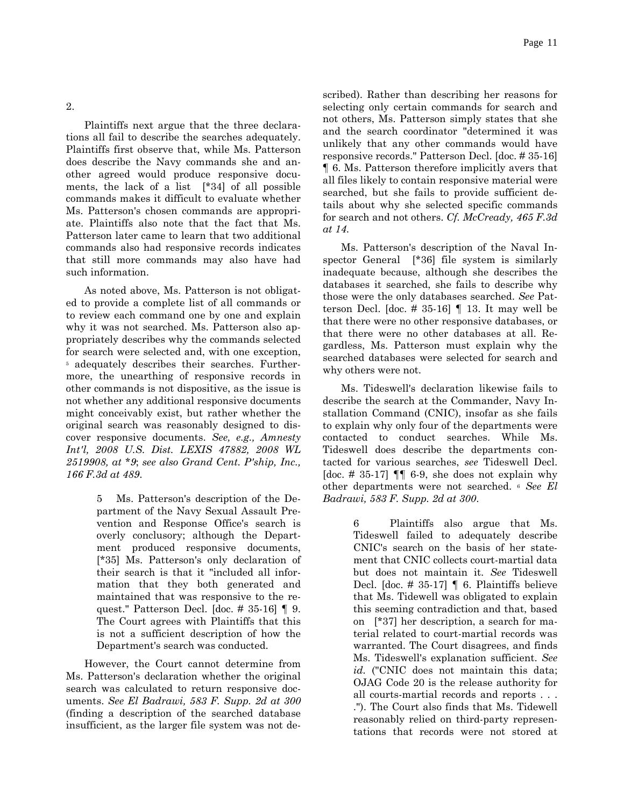2.

Plaintiffs next argue that the three declarations all fail to describe the searches adequately. Plaintiffs first observe that, while Ms. Patterson does describe the Navy commands she and another agreed would produce responsive documents, the lack of a list [\*34] of all possible commands makes it difficult to evaluate whether Ms. Patterson's chosen commands are appropriate. Plaintiffs also note that the fact that Ms. Patterson later came to learn that two additional commands also had responsive records indicates that still more commands may also have had such information.

As noted above, Ms. Patterson is not obligated to provide a complete list of all commands or to review each command one by one and explain why it was not searched. Ms. Patterson also appropriately describes why the commands selected for search were selected and, with one exception, 5 adequately describes their searches. Furthermore, the unearthing of responsive records in other commands is not dispositive, as the issue is not whether any additional responsive documents might conceivably exist, but rather whether the original search was reasonably designed to discover responsive documents. *See, e.g., Amnesty Int'l, 2008 U.S. Dist. LEXIS 47882, 2008 WL 2519908, at \*9*; *see also Grand Cent. P'ship, Inc., 166 F.3d at 489*.

> 5 Ms. Patterson's description of the Department of the Navy Sexual Assault Prevention and Response Office's search is overly conclusory; although the Department produced responsive documents, [\*35] Ms. Patterson's only declaration of their search is that it "included all information that they both generated and maintained that was responsive to the request." Patterson Decl. [doc. # 35-16] ¶ 9. The Court agrees with Plaintiffs that this is not a sufficient description of how the Department's search was conducted.

However, the Court cannot determine from Ms. Patterson's declaration whether the original search was calculated to return responsive documents. *See El Badrawi, 583 F. Supp. 2d at 300* (finding a description of the searched database insufficient, as the larger file system was not described). Rather than describing her reasons for selecting only certain commands for search and not others, Ms. Patterson simply states that she and the search coordinator "determined it was unlikely that any other commands would have responsive records." Patterson Decl. [doc. # 35-16] ¶ 6. Ms. Patterson therefore implicitly avers that all files likely to contain responsive material were searched, but she fails to provide sufficient details about why she selected specific commands for search and not others. *Cf. McCready, 465 F.3d at 14*.

Ms. Patterson's description of the Naval Inspector General [\*36] file system is similarly inadequate because, although she describes the databases it searched, she fails to describe why those were the only databases searched. *See* Patterson Decl. [doc.  $# 35-16$ ] | 13. It may well be that there were no other responsive databases, or that there were no other databases at all. Regardless, Ms. Patterson must explain why the searched databases were selected for search and why others were not.

Ms. Tideswell's declaration likewise fails to describe the search at the Commander, Navy Installation Command (CNIC), insofar as she fails to explain why only four of the departments were contacted to conduct searches. While Ms. Tideswell does describe the departments contacted for various searches, *see* Tideswell Decl. [doc.  $\#$  35-17]  $\P\P$  6-9, she does not explain why other departments were not searched. 6 *See El Badrawi, 583 F. Supp. 2d at 300*.

> 6 Plaintiffs also argue that Ms. Tideswell failed to adequately describe CNIC's search on the basis of her statement that CNIC collects court-martial data but does not maintain it. *See* Tideswell Decl. [doc. # 35-17] ¶ 6. Plaintiffs believe that Ms. Tidewell was obligated to explain this seeming contradiction and that, based on [\*37] her description, a search for material related to court-martial records was warranted. The Court disagrees, and finds Ms. Tideswell's explanation sufficient. *See*  id. ("CNIC does not maintain this data; OJAG Code 20 is the release authority for all courts-martial records and reports . . . ."). The Court also finds that Ms. Tidewell reasonably relied on third-party representations that records were not stored at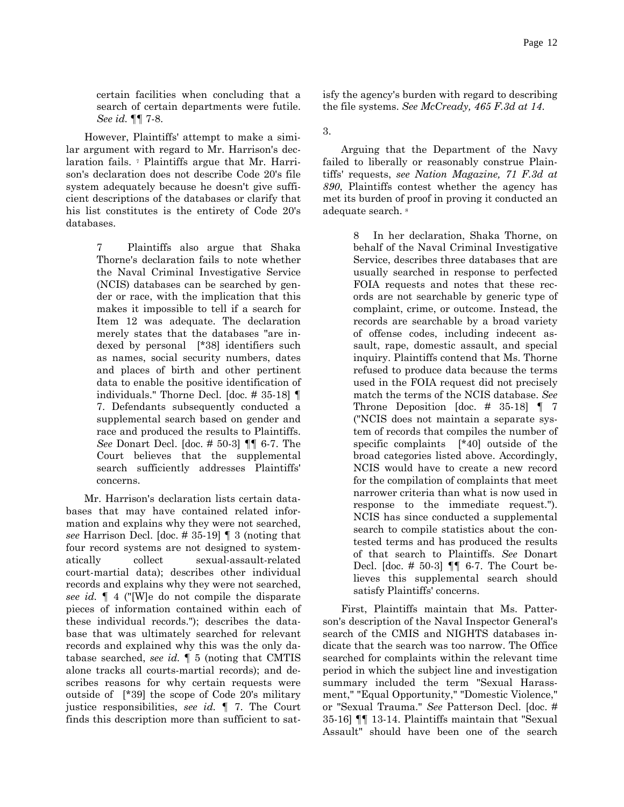certain facilities when concluding that a search of certain departments were futile. *See id.* ¶¶ 7-8.

However, Plaintiffs' attempt to make a similar argument with regard to Mr. Harrison's declaration fails. <sup>7</sup> Plaintiffs argue that Mr. Harrison's declaration does not describe Code 20's file system adequately because he doesn't give sufficient descriptions of the databases or clarify that his list constitutes is the entirety of Code 20's databases.

> 7 Plaintiffs also argue that Shaka Thorne's declaration fails to note whether the Naval Criminal Investigative Service (NCIS) databases can be searched by gender or race, with the implication that this makes it impossible to tell if a search for Item 12 was adequate. The declaration merely states that the databases "are indexed by personal [\*38] identifiers such as names, social security numbers, dates and places of birth and other pertinent data to enable the positive identification of individuals." Thorne Decl. [doc. # 35-18] ¶ 7. Defendants subsequently conducted a supplemental search based on gender and race and produced the results to Plaintiffs. *See* Donart Decl. [doc. # 50-3] ¶¶ 6-7. The Court believes that the supplemental search sufficiently addresses Plaintiffs' concerns.

Mr. Harrison's declaration lists certain databases that may have contained related information and explains why they were not searched, *see* Harrison Decl. [doc. # 35-19] ¶ 3 (noting that four record systems are not designed to systematically collect sexual-assault-related court-martial data); describes other individual records and explains why they were not searched, *see id.* ¶ 4 ("[W]e do not compile the disparate pieces of information contained within each of these individual records."); describes the database that was ultimately searched for relevant records and explained why this was the only database searched, *see id.* ¶ 5 (noting that CMTIS alone tracks all courts-martial records); and describes reasons for why certain requests were outside of [\*39] the scope of Code 20's military justice responsibilities, *see id.* ¶ 7. The Court finds this description more than sufficient to satisfy the agency's burden with regard to describing the file systems. *See McCready, 465 F.3d at 14*.

3.

Arguing that the Department of the Navy failed to liberally or reasonably construe Plaintiffs' requests, *see Nation Magazine, 71 F.3d at 890*, Plaintiffs contest whether the agency has met its burden of proof in proving it conducted an adequate search. 8

> 8 In her declaration, Shaka Thorne, on behalf of the Naval Criminal Investigative Service, describes three databases that are usually searched in response to perfected FOIA requests and notes that these records are not searchable by generic type of complaint, crime, or outcome. Instead, the records are searchable by a broad variety of offense codes, including indecent assault, rape, domestic assault, and special inquiry. Plaintiffs contend that Ms. Thorne refused to produce data because the terms used in the FOIA request did not precisely match the terms of the NCIS database. *See* Throne Deposition [doc.  $\#$  35-18] | 7 ("NCIS does not maintain a separate system of records that compiles the number of specific complaints [\*40] outside of the broad categories listed above. Accordingly, NCIS would have to create a new record for the compilation of complaints that meet narrower criteria than what is now used in response to the immediate request."). NCIS has since conducted a supplemental search to compile statistics about the contested terms and has produced the results of that search to Plaintiffs. *See* Donart Decl. [doc. # 50-3] ¶¶ 6-7. The Court believes this supplemental search should satisfy Plaintiffs' concerns.

First, Plaintiffs maintain that Ms. Patterson's description of the Naval Inspector General's search of the CMIS and NIGHTS databases indicate that the search was too narrow. The Office searched for complaints within the relevant time period in which the subject line and investigation summary included the term "Sexual Harassment," "Equal Opportunity," "Domestic Violence," or "Sexual Trauma." *See* Patterson Decl. [doc. # 35-16] ¶¶ 13-14. Plaintiffs maintain that "Sexual Assault" should have been one of the search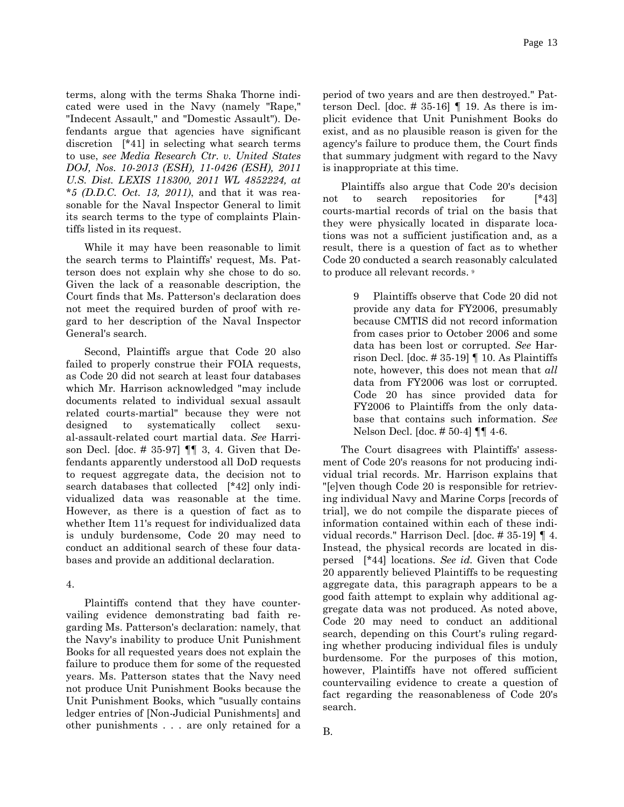terms, along with the terms Shaka Thorne indicated were used in the Navy (namely "Rape," "Indecent Assault," and "Domestic Assault"). Defendants argue that agencies have significant discretion [\*41] in selecting what search terms to use, *see Media Research Ctr. v. United States DOJ, Nos. 10-2013 (ESH), 11-0426 (ESH), 2011 U.S. Dist. LEXIS 118300, 2011 WL 4852224, at \*5 (D.D.C. Oct. 13, 2011)*, and that it was reasonable for the Naval Inspector General to limit its search terms to the type of complaints Plaintiffs listed in its request.

While it may have been reasonable to limit the search terms to Plaintiffs' request, Ms. Patterson does not explain why she chose to do so. Given the lack of a reasonable description, the Court finds that Ms. Patterson's declaration does not meet the required burden of proof with regard to her description of the Naval Inspector General's search.

Second, Plaintiffs argue that Code 20 also failed to properly construe their FOIA requests, as Code 20 did not search at least four databases which Mr. Harrison acknowledged "may include documents related to individual sexual assault related courts-martial" because they were not designed to systematically collect sexual-assault-related court martial data. *See* Harrison Decl. [doc.  $\# 35-97$ ]  $\P\P$  3, 4. Given that Defendants apparently understood all DoD requests to request aggregate data, the decision not to search databases that collected [\*42] only individualized data was reasonable at the time. However, as there is a question of fact as to whether Item 11's request for individualized data is unduly burdensome, Code 20 may need to conduct an additional search of these four databases and provide an additional declaration.

#### 4.

Plaintiffs contend that they have countervailing evidence demonstrating bad faith regarding Ms. Patterson's declaration: namely, that the Navy's inability to produce Unit Punishment Books for all requested years does not explain the failure to produce them for some of the requested years. Ms. Patterson states that the Navy need not produce Unit Punishment Books because the Unit Punishment Books, which "usually contains ledger entries of [Non-Judicial Punishments] and other punishments . . . are only retained for a

period of two years and are then destroyed." Patterson Decl. [doc.  $# 35-16$ ] | 19. As there is implicit evidence that Unit Punishment Books do exist, and as no plausible reason is given for the agency's failure to produce them, the Court finds that summary judgment with regard to the Navy is inappropriate at this time.

Plaintiffs also argue that Code 20's decision not to search repositories for [\*43] courts-martial records of trial on the basis that they were physically located in disparate locations was not a sufficient justification and, as a result, there is a question of fact as to whether Code 20 conducted a search reasonably calculated to produce all relevant records. 9

> 9 Plaintiffs observe that Code 20 did not provide any data for FY2006, presumably because CMTIS did not record information from cases prior to October 2006 and some data has been lost or corrupted. *See* Harrison Decl. [doc.  $\# 35-19$ ] | 10. As Plaintiffs note, however, this does not mean that *all* data from FY2006 was lost or corrupted. Code 20 has since provided data for FY2006 to Plaintiffs from the only database that contains such information. *See* Nelson Decl. [doc. # 50-4] ¶¶ 4-6.

The Court disagrees with Plaintiffs' assessment of Code 20's reasons for not producing individual trial records. Mr. Harrison explains that "[e]ven though Code 20 is responsible for retrieving individual Navy and Marine Corps [records of trial], we do not compile the disparate pieces of information contained within each of these individual records." Harrison Decl. [doc. # 35-19] ¶ 4. Instead, the physical records are located in dispersed [\*44] locations. *See id.* Given that Code 20 apparently believed Plaintiffs to be requesting aggregate data, this paragraph appears to be a good faith attempt to explain why additional aggregate data was not produced. As noted above, Code 20 may need to conduct an additional search, depending on this Court's ruling regarding whether producing individual files is unduly burdensome. For the purposes of this motion, however, Plaintiffs have not offered sufficient countervailing evidence to create a question of fact regarding the reasonableness of Code 20's search.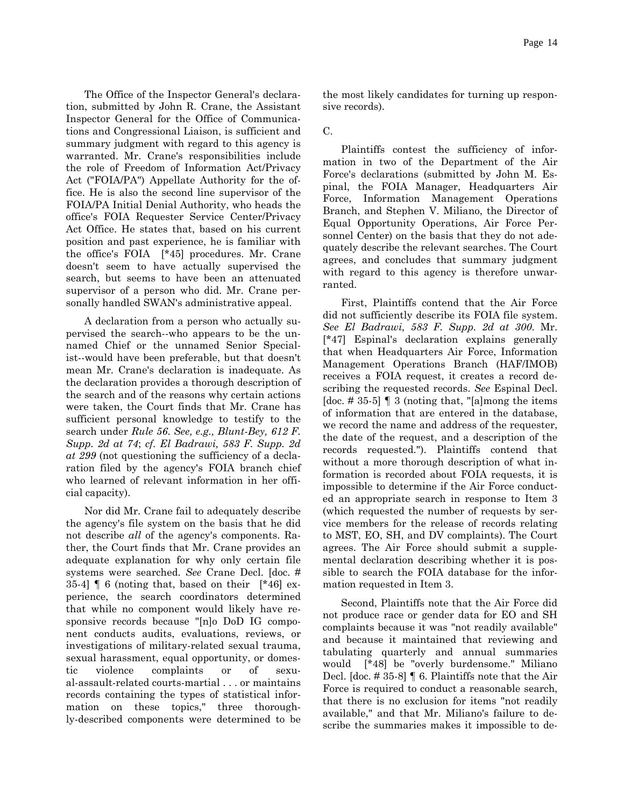The Office of the Inspector General's declaration, submitted by John R. Crane, the Assistant Inspector General for the Office of Communications and Congressional Liaison, is sufficient and summary judgment with regard to this agency is warranted. Mr. Crane's responsibilities include the role of Freedom of Information Act/Privacy Act ("FOIA/PA") Appellate Authority for the office. He is also the second line supervisor of the FOIA/PA Initial Denial Authority, who heads the office's FOIA Requester Service Center/Privacy Act Office. He states that, based on his current position and past experience, he is familiar with the office's FOIA [\*45] procedures. Mr. Crane doesn't seem to have actually supervised the search, but seems to have been an attenuated supervisor of a person who did. Mr. Crane personally handled SWAN's administrative appeal.

A declaration from a person who actually supervised the search--who appears to be the unnamed Chief or the unnamed Senior Specialist--would have been preferable, but that doesn't mean Mr. Crane's declaration is inadequate. As the declaration provides a thorough description of the search and of the reasons why certain actions were taken, the Court finds that Mr. Crane has sufficient personal knowledge to testify to the search under *Rule 56*. *See, e.g., Blunt-Bey, 612 F. Supp. 2d at 74*; *cf. El Badrawi, 583 F. Supp. 2d at 299* (not questioning the sufficiency of a declaration filed by the agency's FOIA branch chief who learned of relevant information in her official capacity).

Nor did Mr. Crane fail to adequately describe the agency's file system on the basis that he did not describe *all* of the agency's components. Rather, the Court finds that Mr. Crane provides an adequate explanation for why only certain file systems were searched. *See* Crane Decl. [doc. # 35-4]  $\llbracket 6 \text{ (noting that, based on their } \llbracket *46 \rrbracket \text{ ex-}$ perience, the search coordinators determined that while no component would likely have responsive records because "[n]o DoD IG component conducts audits, evaluations, reviews, or investigations of military-related sexual trauma, sexual harassment, equal opportunity, or domestic violence complaints or of sexual-assault-related courts-martial . . . or maintains records containing the types of statistical information on these topics," three thoroughly-described components were determined to be

the most likely candidates for turning up responsive records).

## C.

Plaintiffs contest the sufficiency of information in two of the Department of the Air Force's declarations (submitted by John M. Espinal, the FOIA Manager, Headquarters Air Force, Information Management Operations Branch, and Stephen V. Miliano, the Director of Equal Opportunity Operations, Air Force Personnel Center) on the basis that they do not adequately describe the relevant searches. The Court agrees, and concludes that summary judgment with regard to this agency is therefore unwarranted.

First, Plaintiffs contend that the Air Force did not sufficiently describe its FOIA file system. *See El Badrawi, 583 F. Supp. 2d at 300*. Mr. [\*47] Espinal's declaration explains generally that when Headquarters Air Force, Information Management Operations Branch (HAF/IMOB) receives a FOIA request, it creates a record describing the requested records. *See* Espinal Decl. [doc. #35-5]  $\parallel$  3 (noting that, "[a]mong the items of information that are entered in the database, we record the name and address of the requester, the date of the request, and a description of the records requested."). Plaintiffs contend that without a more thorough description of what information is recorded about FOIA requests, it is impossible to determine if the Air Force conducted an appropriate search in response to Item 3 (which requested the number of requests by service members for the release of records relating to MST, EO, SH, and DV complaints). The Court agrees. The Air Force should submit a supplemental declaration describing whether it is possible to search the FOIA database for the information requested in Item 3.

Second, Plaintiffs note that the Air Force did not produce race or gender data for EO and SH complaints because it was "not readily available" and because it maintained that reviewing and tabulating quarterly and annual summaries would [\*48] be "overly burdensome." Miliano Decl. [doc. # 35-8] ¶ 6. Plaintiffs note that the Air Force is required to conduct a reasonable search, that there is no exclusion for items "not readily available," and that Mr. Miliano's failure to describe the summaries makes it impossible to de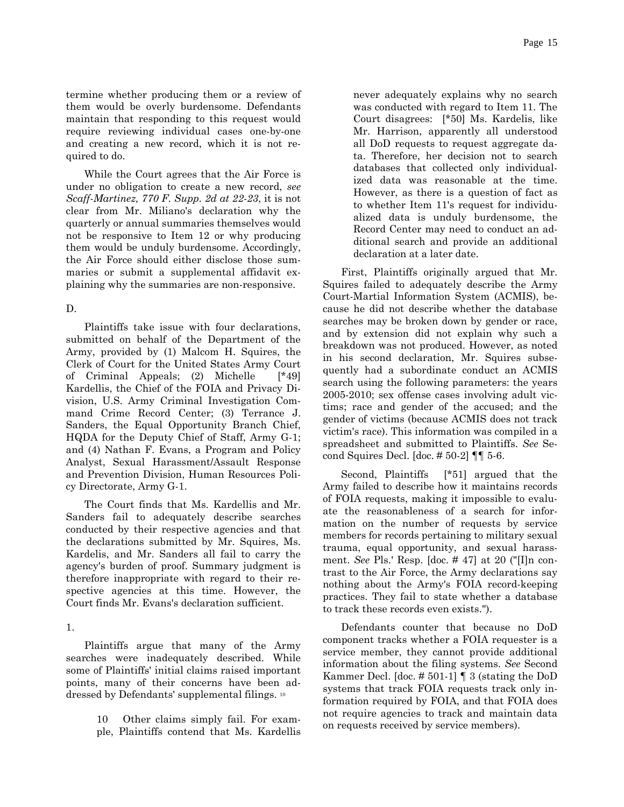termine whether producing them or a review of them would be overly burdensome. Defendants maintain that responding to this request would require reviewing individual cases one-by-one and creating a new record, which it is not required to do.

While the Court agrees that the Air Force is under no obligation to create a new record, *see Scaff-Martinez, 770 F. Supp. 2d at 22-23*, it is not clear from Mr. Miliano's declaration why the quarterly or annual summaries themselves would not be responsive to Item 12 or why producing them would be unduly burdensome. Accordingly, the Air Force should either disclose those summaries or submit a supplemental affidavit explaining why the summaries are non-responsive.

### D.

Plaintiffs take issue with four declarations, submitted on behalf of the Department of the Army, provided by (1) Malcom H. Squires, the Clerk of Court for the United States Army Court of Criminal Appeals; (2) Michelle [\*49] Kardellis, the Chief of the FOIA and Privacy Division, U.S. Army Criminal Investigation Command Crime Record Center; (3) Terrance J. Sanders, the Equal Opportunity Branch Chief, HQDA for the Deputy Chief of Staff, Army G-1; and (4) Nathan F. Evans, a Program and Policy Analyst, Sexual Harassment/Assault Response and Prevention Division, Human Resources Policy Directorate, Army G-1.

The Court finds that Ms. Kardellis and Mr. Sanders fail to adequately describe searches conducted by their respective agencies and that the declarations submitted by Mr. Squires, Ms. Kardelis, and Mr. Sanders all fail to carry the agency's burden of proof. Summary judgment is therefore inappropriate with regard to their respective agencies at this time. However, the Court finds Mr. Evans's declaration sufficient.

### 1.

Plaintiffs argue that many of the Army searches were inadequately described. While some of Plaintiffs' initial claims raised important points, many of their concerns have been addressed by Defendants' supplemental filings. 10

> 10 Other claims simply fail. For example, Plaintiffs contend that Ms. Kardellis

never adequately explains why no search was conducted with regard to Item 11. The Court disagrees: [\*50] Ms. Kardelis, like Mr. Harrison, apparently all understood all DoD requests to request aggregate data. Therefore, her decision not to search databases that collected only individualized data was reasonable at the time. However, as there is a question of fact as to whether Item 11's request for individualized data is unduly burdensome, the Record Center may need to conduct an additional search and provide an additional declaration at a later date.

First, Plaintiffs originally argued that Mr. Squires failed to adequately describe the Army Court-Martial Information System (ACMIS), because he did not describe whether the database searches may be broken down by gender or race, and by extension did not explain why such a breakdown was not produced. However, as noted in his second declaration, Mr. Squires subsequently had a subordinate conduct an ACMIS search using the following parameters: the years 2005-2010; sex offense cases involving adult victims; race and gender of the accused; and the gender of victims (because ACMIS does not track victim's race). This information was compiled in a spreadsheet and submitted to Plaintiffs. *See* Second Squires Decl. [doc. # 50-2] ¶¶ 5-6.

Second, Plaintiffs [\*51] argued that the Army failed to describe how it maintains records of FOIA requests, making it impossible to evaluate the reasonableness of a search for information on the number of requests by service members for records pertaining to military sexual trauma, equal opportunity, and sexual harassment. *See* Pls.' Resp. [doc. # 47] at 20 ("[I]n contrast to the Air Force, the Army declarations say nothing about the Army's FOIA record-keeping practices. They fail to state whether a database to track these records even exists.").

Defendants counter that because no DoD component tracks whether a FOIA requester is a service member, they cannot provide additional information about the filing systems. *See* Second Kammer Decl. [doc. # 501-1] ¶ 3 (stating the DoD systems that track FOIA requests track only information required by FOIA, and that FOIA does not require agencies to track and maintain data on requests received by service members).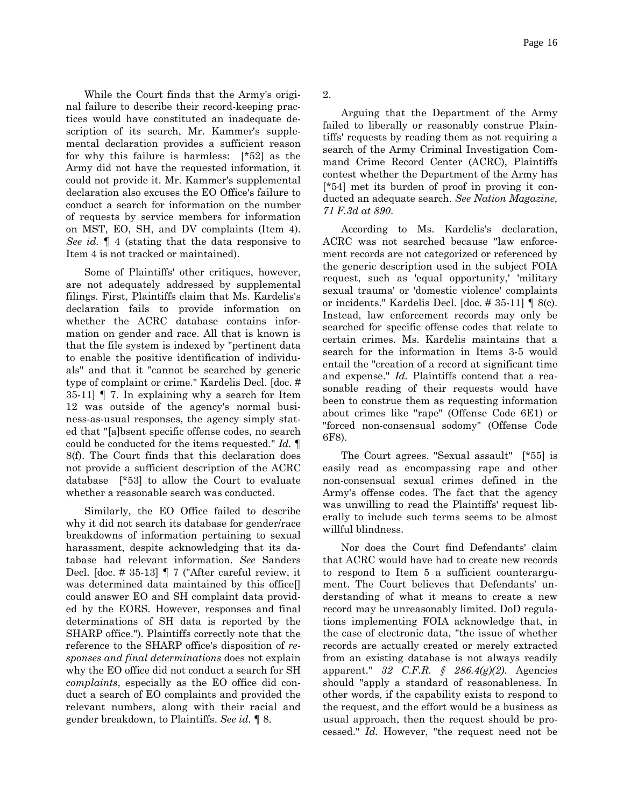While the Court finds that the Army's original failure to describe their record-keeping practices would have constituted an inadequate description of its search, Mr. Kammer's supplemental declaration provides a sufficient reason for why this failure is harmless: [\*52] as the Army did not have the requested information, it could not provide it. Mr. Kammer's supplemental declaration also excuses the EO Office's failure to conduct a search for information on the number of requests by service members for information on MST, EO, SH, and DV complaints (Item 4). *See id.* ¶ 4 (stating that the data responsive to Item 4 is not tracked or maintained).

Some of Plaintiffs' other critiques, however, are not adequately addressed by supplemental filings. First, Plaintiffs claim that Ms. Kardelis's declaration fails to provide information on whether the ACRC database contains information on gender and race. All that is known is that the file system is indexed by "pertinent data to enable the positive identification of individuals" and that it "cannot be searched by generic type of complaint or crime." Kardelis Decl. [doc. # 35-11] ¶ 7. In explaining why a search for Item 12 was outside of the agency's normal business-as-usual responses, the agency simply stated that "[a]bsent specific offense codes, no search could be conducted for the items requested." *Id.* ¶ 8(f). The Court finds that this declaration does not provide a sufficient description of the ACRC database [\*53] to allow the Court to evaluate whether a reasonable search was conducted.

Similarly, the EO Office failed to describe why it did not search its database for gender/race breakdowns of information pertaining to sexual harassment, despite acknowledging that its database had relevant information. *See* Sanders Decl. [doc. # 35-13] ¶ 7 ("After careful review, it was determined data maintained by this office[] could answer EO and SH complaint data provided by the EORS. However, responses and final determinations of SH data is reported by the SHARP office."). Plaintiffs correctly note that the reference to the SHARP office's disposition of *responses and final determinations* does not explain why the EO office did not conduct a search for SH *complaints*, especially as the EO office did conduct a search of EO complaints and provided the relevant numbers, along with their racial and gender breakdown, to Plaintiffs. *See id.* ¶ 8.

2.

Arguing that the Department of the Army failed to liberally or reasonably construe Plaintiffs' requests by reading them as not requiring a search of the Army Criminal Investigation Command Crime Record Center (ACRC), Plaintiffs contest whether the Department of the Army has [\*54] met its burden of proof in proving it conducted an adequate search. *See Nation Magazine, 71 F.3d at 890*.

According to Ms. Kardelis's declaration, ACRC was not searched because "law enforcement records are not categorized or referenced by the generic description used in the subject FOIA request, such as 'equal opportunity,' 'military sexual trauma' or 'domestic violence' complaints or incidents." Kardelis Decl. [doc. # 35-11] ¶ 8(c). Instead, law enforcement records may only be searched for specific offense codes that relate to certain crimes. Ms. Kardelis maintains that a search for the information in Items 3-5 would entail the "creation of a record at significant time and expense." *Id.* Plaintiffs contend that a reasonable reading of their requests would have been to construe them as requesting information about crimes like "rape" (Offense Code 6E1) or "forced non-consensual sodomy" (Offense Code 6F8).

The Court agrees. "Sexual assault" [\*55] is easily read as encompassing rape and other non-consensual sexual crimes defined in the Army's offense codes. The fact that the agency was unwilling to read the Plaintiffs' request liberally to include such terms seems to be almost willful blindness.

Nor does the Court find Defendants' claim that ACRC would have had to create new records to respond to Item 5 a sufficient counterargument. The Court believes that Defendants' understanding of what it means to create a new record may be unreasonably limited. DoD regulations implementing FOIA acknowledge that, in the case of electronic data, "the issue of whether records are actually created or merely extracted from an existing database is not always readily apparent." *32 C.F.R. § 286.4(g)(2)*. Agencies should "apply a standard of reasonableness. In other words, if the capability exists to respond to the request, and the effort would be a business as usual approach, then the request should be processed." *Id.* However, "the request need not be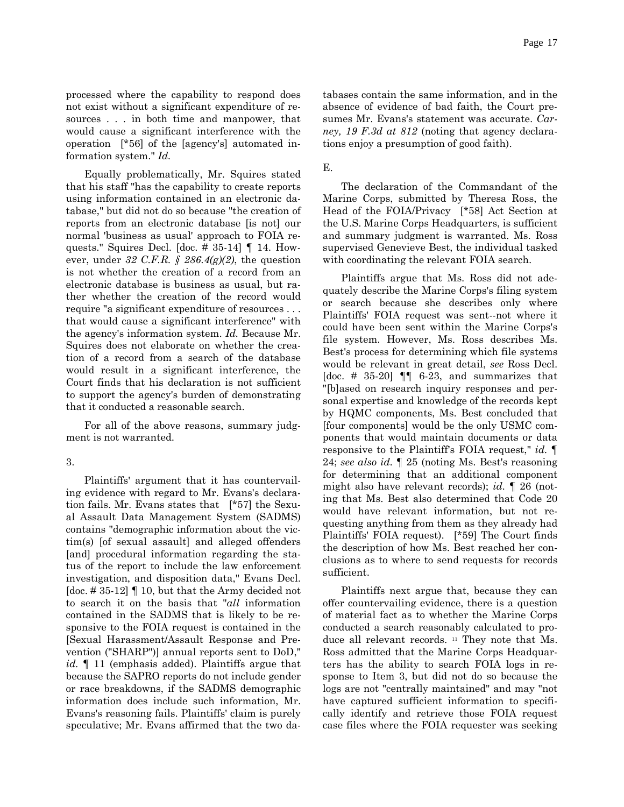processed where the capability to respond does not exist without a significant expenditure of resources . . . in both time and manpower, that would cause a significant interference with the operation [\*56] of the [agency's] automated in-

formation system." *Id.*

Equally problematically, Mr. Squires stated that his staff "has the capability to create reports using information contained in an electronic database," but did not do so because "the creation of reports from an electronic database [is not] our normal 'business as usual' approach to FOIA requests." Squires Decl. [doc. # 35-14] ¶ 14. However, under *32 C.F.R. § 286.4(g)(2)*, the question is not whether the creation of a record from an electronic database is business as usual, but rather whether the creation of the record would require "a significant expenditure of resources . . . that would cause a significant interference" with the agency's information system. *Id.* Because Mr. Squires does not elaborate on whether the creation of a record from a search of the database would result in a significant interference, the Court finds that his declaration is not sufficient to support the agency's burden of demonstrating that it conducted a reasonable search.

For all of the above reasons, summary judgment is not warranted.

3.

Plaintiffs' argument that it has countervailing evidence with regard to Mr. Evans's declaration fails. Mr. Evans states that [\*57] the Sexual Assault Data Management System (SADMS) contains "demographic information about the victim(s) [of sexual assault] and alleged offenders [and] procedural information regarding the status of the report to include the law enforcement investigation, and disposition data," Evans Decl. [doc. # 35-12]  $\P$  10, but that the Army decided not to search it on the basis that "*all* information contained in the SADMS that is likely to be responsive to the FOIA request is contained in the [Sexual Harassment/Assault Response and Prevention ("SHARP")] annual reports sent to DoD," *id.* ¶ 11 (emphasis added). Plaintiffs argue that because the SAPRO reports do not include gender or race breakdowns, if the SADMS demographic information does include such information, Mr. Evans's reasoning fails. Plaintiffs' claim is purely speculative; Mr. Evans affirmed that the two databases contain the same information, and in the absence of evidence of bad faith, the Court presumes Mr. Evans's statement was accurate. *Carney, 19 F.3d at 812* (noting that agency declarations enjoy a presumption of good faith).

E.

The declaration of the Commandant of the Marine Corps, submitted by Theresa Ross, the Head of the FOIA/Privacy [\*58] Act Section at the U.S. Marine Corps Headquarters, is sufficient and summary judgment is warranted. Ms. Ross supervised Genevieve Best, the individual tasked with coordinating the relevant FOIA search.

Plaintiffs argue that Ms. Ross did not adequately describe the Marine Corps's filing system or search because she describes only where Plaintiffs' FOIA request was sent--not where it could have been sent within the Marine Corps's file system. However, Ms. Ross describes Ms. Best's process for determining which file systems would be relevant in great detail, *see* Ross Decl. [doc.  $\#$  35-20]  $\P$  6-23, and summarizes that "[b]ased on research inquiry responses and personal expertise and knowledge of the records kept by HQMC components, Ms. Best concluded that [four components] would be the only USMC components that would maintain documents or data responsive to the Plaintiff's FOIA request," *id.* ¶ 24; *see also id.* ¶ 25 (noting Ms. Best's reasoning for determining that an additional component might also have relevant records); *id.* ¶ 26 (noting that Ms. Best also determined that Code 20 would have relevant information, but not requesting anything from them as they already had Plaintiffs' FOIA request). [\*59] The Court finds the description of how Ms. Best reached her conclusions as to where to send requests for records sufficient.

Plaintiffs next argue that, because they can offer countervailing evidence, there is a question of material fact as to whether the Marine Corps conducted a search reasonably calculated to produce all relevant records. 11 They note that Ms. Ross admitted that the Marine Corps Headquarters has the ability to search FOIA logs in response to Item 3, but did not do so because the logs are not "centrally maintained" and may "not have captured sufficient information to specifically identify and retrieve those FOIA request case files where the FOIA requester was seeking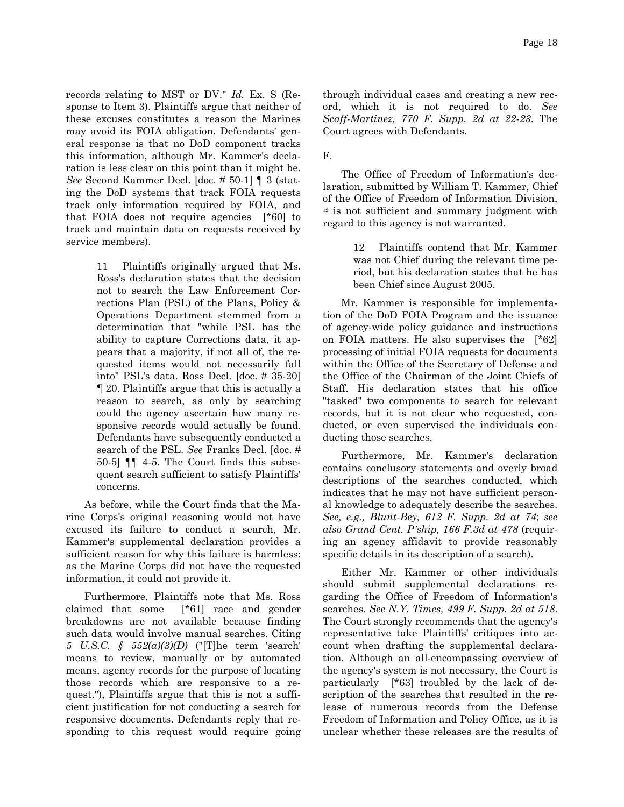Page 18

records relating to MST or DV." *Id.* Ex. S (Response to Item 3). Plaintiffs argue that neither of these excuses constitutes a reason the Marines may avoid its FOIA obligation. Defendants' general response is that no DoD component tracks this information, although Mr. Kammer's declaration is less clear on this point than it might be. *See* Second Kammer Decl. [doc. # 50-1] ¶ 3 (stating the DoD systems that track FOIA requests track only information required by FOIA, and that FOIA does not require agencies [\*60] to track and maintain data on requests received by service members).

> 11 Plaintiffs originally argued that Ms. Ross's declaration states that the decision not to search the Law Enforcement Corrections Plan (PSL) of the Plans, Policy & Operations Department stemmed from a determination that "while PSL has the ability to capture Corrections data, it appears that a majority, if not all of, the requested items would not necessarily fall into" PSL's data. Ross Decl. [doc. # 35-20] ¶ 20. Plaintiffs argue that this is actually a reason to search, as only by searching could the agency ascertain how many responsive records would actually be found. Defendants have subsequently conducted a search of the PSL. *See* Franks Decl. [doc. # 50-5] ¶¶ 4-5. The Court finds this subsequent search sufficient to satisfy Plaintiffs' concerns.

As before, while the Court finds that the Marine Corps's original reasoning would not have excused its failure to conduct a search, Mr. Kammer's supplemental declaration provides a sufficient reason for why this failure is harmless: as the Marine Corps did not have the requested information, it could not provide it.

Furthermore, Plaintiffs note that Ms. Ross claimed that some [\*61] race and gender breakdowns are not available because finding such data would involve manual searches. Citing *5 U.S.C. § 552(a)(3)(D)* ("[T]he term 'search' means to review, manually or by automated means, agency records for the purpose of locating those records which are responsive to a request."), Plaintiffs argue that this is not a sufficient justification for not conducting a search for responsive documents. Defendants reply that responding to this request would require going through individual cases and creating a new record, which it is not required to do. *See Scaff-Martinez, 770 F. Supp. 2d at 22-23*. The Court agrees with Defendants.

F.

The Office of Freedom of Information's declaration, submitted by William T. Kammer, Chief of the Office of Freedom of Information Division, <sup>12</sup> is not sufficient and summary judgment with regard to this agency is not warranted.

> 12 Plaintiffs contend that Mr. Kammer was not Chief during the relevant time period, but his declaration states that he has been Chief since August 2005.

Mr. Kammer is responsible for implementation of the DoD FOIA Program and the issuance of agency-wide policy guidance and instructions on FOIA matters. He also supervises the [\*62] processing of initial FOIA requests for documents within the Office of the Secretary of Defense and the Office of the Chairman of the Joint Chiefs of Staff. His declaration states that his office "tasked" two components to search for relevant records, but it is not clear who requested, conducted, or even supervised the individuals conducting those searches.

Furthermore, Mr. Kammer's declaration contains conclusory statements and overly broad descriptions of the searches conducted, which indicates that he may not have sufficient personal knowledge to adequately describe the searches. *See, e.g., Blunt-Bey, 612 F. Supp. 2d at 74*; *see also Grand Cent. P'ship, 166 F.3d at 478* (requiring an agency affidavit to provide reasonably specific details in its description of a search).

Either Mr. Kammer or other individuals should submit supplemental declarations regarding the Office of Freedom of Information's searches. *See N.Y. Times, 499 F. Supp. 2d at 518*. The Court strongly recommends that the agency's representative take Plaintiffs' critiques into account when drafting the supplemental declaration. Although an all-encompassing overview of the agency's system is not necessary, the Court is particularly [\*63] troubled by the lack of description of the searches that resulted in the release of numerous records from the Defense Freedom of Information and Policy Office, as it is unclear whether these releases are the results of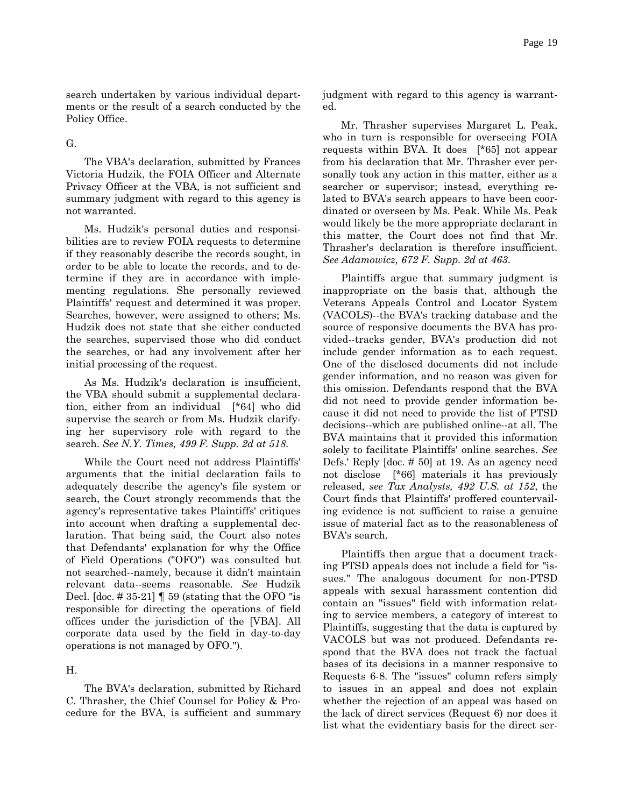search undertaken by various individual departments or the result of a search conducted by the Policy Office.

G.

The VBA's declaration, submitted by Frances Victoria Hudzik, the FOIA Officer and Alternate Privacy Officer at the VBA, is not sufficient and summary judgment with regard to this agency is not warranted.

Ms. Hudzik's personal duties and responsibilities are to review FOIA requests to determine if they reasonably describe the records sought, in order to be able to locate the records, and to determine if they are in accordance with implementing regulations. She personally reviewed Plaintiffs' request and determined it was proper. Searches, however, were assigned to others; Ms. Hudzik does not state that she either conducted the searches, supervised those who did conduct the searches, or had any involvement after her initial processing of the request.

As Ms. Hudzik's declaration is insufficient, the VBA should submit a supplemental declaration, either from an individual [\*64] who did supervise the search or from Ms. Hudzik clarifying her supervisory role with regard to the search. *See N.Y. Times, 499 F. Supp. 2d at 518*.

While the Court need not address Plaintiffs' arguments that the initial declaration fails to adequately describe the agency's file system or search, the Court strongly recommends that the agency's representative takes Plaintiffs' critiques into account when drafting a supplemental declaration. That being said, the Court also notes that Defendants' explanation for why the Office of Field Operations ("OFO") was consulted but not searched--namely, because it didn't maintain relevant data--seems reasonable. *See* Hudzik Decl. [doc.  $\# 35-21$ ] | 59 (stating that the OFO "is responsible for directing the operations of field offices under the jurisdiction of the [VBA]. All corporate data used by the field in day-to-day operations is not managed by OFO.").

#### H.

The BVA's declaration, submitted by Richard C. Thrasher, the Chief Counsel for Policy & Procedure for the BVA, is sufficient and summary

judgment with regard to this agency is warranted.

Mr. Thrasher supervises Margaret L. Peak, who in turn is responsible for overseeing FOIA requests within BVA. It does [\*65] not appear from his declaration that Mr. Thrasher ever personally took any action in this matter, either as a searcher or supervisor; instead, everything related to BVA's search appears to have been coordinated or overseen by Ms. Peak. While Ms. Peak would likely be the more appropriate declarant in this matter, the Court does not find that Mr. Thrasher's declaration is therefore insufficient. *See Adamowicz, 672 F. Supp. 2d at 463*.

Plaintiffs argue that summary judgment is inappropriate on the basis that, although the Veterans Appeals Control and Locator System (VACOLS)--the BVA's tracking database and the source of responsive documents the BVA has provided--tracks gender, BVA's production did not include gender information as to each request. One of the disclosed documents did not include gender information, and no reason was given for this omission. Defendants respond that the BVA did not need to provide gender information because it did not need to provide the list of PTSD decisions--which are published online--at all. The BVA maintains that it provided this information solely to facilitate Plaintiffs' online searches. *See* Defs.' Reply [doc. # 50] at 19. As an agency need not disclose [\*66] materials it has previously released, *see Tax Analysts, 492 U.S. at 152*, the Court finds that Plaintiffs' proffered countervailing evidence is not sufficient to raise a genuine issue of material fact as to the reasonableness of BVA's search.

Plaintiffs then argue that a document tracking PTSD appeals does not include a field for "issues." The analogous document for non-PTSD appeals with sexual harassment contention did contain an "issues" field with information relating to service members, a category of interest to Plaintiffs, suggesting that the data is captured by VACOLS but was not produced. Defendants respond that the BVA does not track the factual bases of its decisions in a manner responsive to Requests 6-8. The "issues" column refers simply to issues in an appeal and does not explain whether the rejection of an appeal was based on the lack of direct services (Request 6) nor does it list what the evidentiary basis for the direct ser